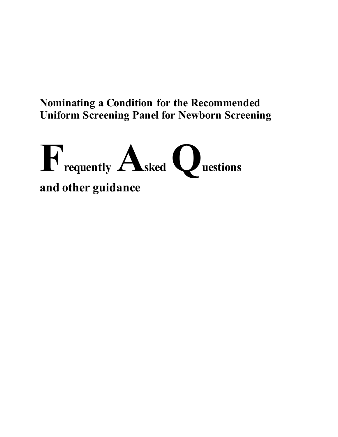# **Nominating a Condition for the Recommended Uniform Screening Panel for Newborn Screening**

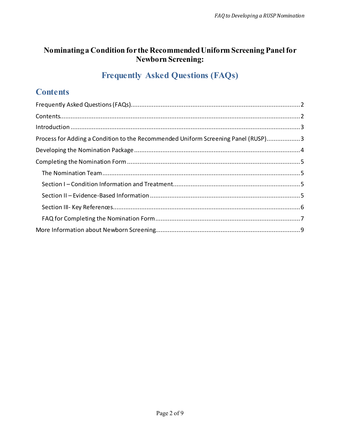## **Nominating a Condition for the Recommended Uniform Screening Panel for Newborn Screening:**

## **Frequently Asked Questions (FAQs)**

## **Contents**

| Process for Adding a Condition to the Recommended Uniform Screening Panel (RUSP)3 |  |
|-----------------------------------------------------------------------------------|--|
|                                                                                   |  |
|                                                                                   |  |
|                                                                                   |  |
|                                                                                   |  |
|                                                                                   |  |
|                                                                                   |  |
|                                                                                   |  |
|                                                                                   |  |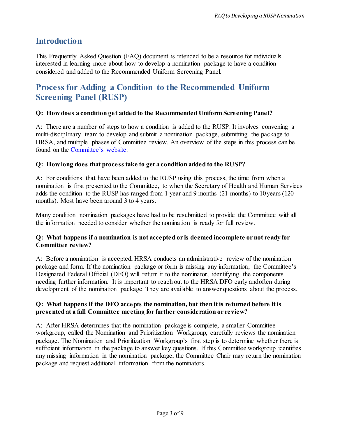## **Introduction**

This Frequently Asked Question (FAQ) document is intended to be a resource for individuals interested in learning more about how to develop a nomination package to have a condition considered and added to the Recommended Uniform Screening Panel.

## **Process for Adding a Condition to the Recommended Uniform Screening Panel (RUSP)**

## **Q: How does a condition get added to the Recommended Uniform Screening Panel?**

A: There are a number of steps to how a condition is added to the RUSP. It involves convening a multi-disciplinary team to develop and submit a nomination package, submitting the package to HRSA, and multiple phases of Committee review. An overview of the steps in this process can be found on the [Committee's](https://www.hrsa.gov/advisory-committees/heritable-disorders/rusp/nominate.html) website.

## **Q: How long does that process take to get a condition added to the RUSP?**

A: For conditions that have been added to the RUSP using this process, the time from when a nomination is first presented to the Committee, to when the Secretary of Health and Human Services adds the condition to the RUSP has ranged from 1 year and 9 months (21 months) to 10years (120 months). Most have been around 3 to 4 years.

Many condition nomination packages have had to be resubmitted to provide the Committee withall the information needed to consider whether the nomination is ready for full review.

## **Q: What happens if a nomination is not accepted or is deemed incomplete or not ready for Committee review?**

A: Before a nomination is accepted, HRSA conducts an administrative review of the nomination package and form. If the nomination package or form is missing any information, the Committee's Designated Federal Official (DFO) will return it to the nominator, identifying the components needing further information. It is important to reach out to the HRSA DFO early andoften during development of the nomination package. They are available to answer questions about the process.

## **Q: What happens if the DFO accepts the nomination, but then it is returned before it is presented at a full Committee meeting for further consideration or review?**

A: After HRSA determines that the nomination package is complete, a smaller Committee workgroup, called the Nomination and Prioritization Workgroup, carefully reviews the nomination package. The Nomination and Prioritization Workgroup's first step is to determine whether there is sufficient information in the package to answer key questions. If this Committee workgroup identifies any missing information in the nomination package, the Committee Chair may return the nomination package and request additional information from the nominators.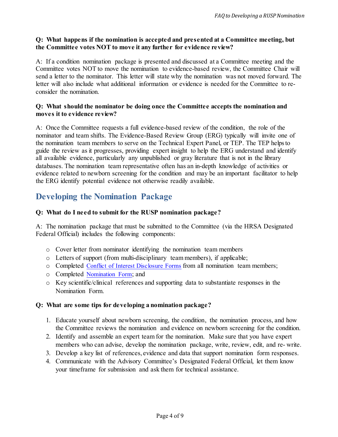### **Q: What happens if the nomination is accepted and presented at a Committee meeting, but the Committee votes NOT to move it any further for evidence review?**

A: If a condition nomination package is presented and discussed at a Committee meeting and the Committee votes NOT to move the nomination to evidence-based review, the Committee Chair will send a letter to the nominator. This letter will state why the nomination was not moved forward. The letter will also include what additional information or evidence is needed for the Committee to reconsider the nomination.

### **Q: What should the nominator be doing once the Committee accepts the nomination and moves it to evidence review?**

A: Once the Committee requests a full evidence-based review of the condition, the role of the nominator and team shifts. The Evidence-Based Review Group (ERG) typically will invite one of the nomination team members to serve on the Technical Expert Panel, or TEP. The TEP helpsto guide the review as it progresses, providing expert insight to help the ERG understand and identify all available evidence, particularly any unpublished or gray literature that is not in the library databases. The nomination team representative often has an in-depth knowledge of activities or evidence related to newborn screening for the condition and may be an important facilitator to help the ERG identify potential evidence not otherwise readily available.

## **Developing the Nomination Package**

## **Q: What do I need to submit for the RUSP nomination package?**

A: The nomination package that must be submitted to the Committee (via the HRSA Designated Federal Official) includes the following components:

- o Cover letter from nominator identifying the nomination team members
- o Letters of support (from multi-disciplinary team members), if applicable;
- o Completed [Conflict of Interest Disclosure Forms](https://www.hrsa.gov/sites/default/files/hrsa/advisory-committees/heritable-disorders/rusp/Nominate-condition/conflict-of-interest-form.pdf) from all nomination team members;
- o Completed [Nomination Form;](https://www.hrsa.gov/sites/default/files/hrsa/advisory-committees/heritable-disorders/rusp/Nominate-condition/nomination-form.pdf) and
- o Key scientific/clinical references and supporting data to substantiate responses in the Nomination Form.

## **Q: What are some tips for developing a nomination package?**

- 1. Educate yourself about newborn screening, the condition, the nomination process, and how the Committee reviews the nomination and evidence on newborn screening for the condition.
- 2. Identify and assemble an expert team for the nomination. Make sure that you have expert members who can advise, develop the nomination package, write, review, edit, and re- write.
- 3. Develop a key list of references, evidence and data that support nomination form responses.
- 4. Communicate with the Advisory Committee's Designated Federal Official, let them know your timeframe for submission and ask them for technical assistance.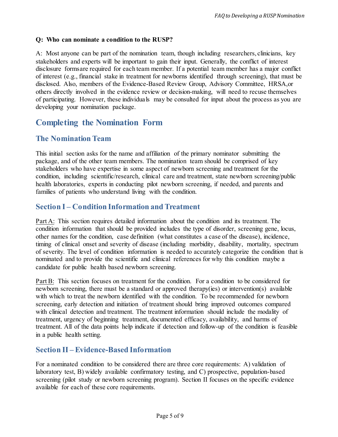## **Q: Who can nominate a condition to the RUSP?**

A: Most anyone can be part of the nomination team, though including researchers, clinicians, key stakeholders and experts will be important to gain their input. Generally, the conflict of interest disclosure formsare required for each team member. If a potential team member has a major conflict of interest (e.g., financial stake in treatment for newborns identified through screening), that must be disclosed. Also, members of the Evidence-Based Review Group, Advisory Committee, HRSA,or others directly involved in the evidence review or decision-making, will need to recuse themselves of participating. However, these individuals may be consulted for input about the process as you are developing your nomination package.

## **Completing the Nomination Form**

## **The Nomination Team**

This initial section asks for the name and affiliation of the primary nominator submitting the package, and of the other team members. The nomination team should be comprised of key stakeholders who have expertise in some aspect of newborn screening and treatment for the condition, including scientific/research, clinical care and treatment, state newborn screening/public health laboratories, experts in conducting pilot newborn screening, if needed, and parents and families of patients who understand living with the condition.

## **Section I – Condition Information and Treatment**

Part A: This section requires detailed information about the condition and its treatment. The condition information that should be provided includes the type of disorder, screening gene, locus, other names for the condition, case definition (what constitutes a case of the disease), incidence, timing of clinical onset and severity of disease (including morbidity, disability, mortality, spectrum of severity. The level of condition information is needed to accurately categorize the condition that is nominated and to provide the scientific and clinical references for why this condition maybe a candidate for public health based newborn screening.

Part B: This section focuses on treatment for the condition. For a condition to be considered for newborn screening, there must be a standard or approved therapy(ies) or intervention(s) available with which to treat the newborn identified with the condition. To be recommended for newborn screening, early detection and initiation of treatment should bring improved outcomes compared with clinical detection and treatment. The treatment information should include the modality of treatment, urgency of beginning treatment, documented efficacy, availability, and harms of treatment. All of the data points help indicate if detection and follow-up of the condition is feasible in a public health setting.

## **Section II – Evidence-Based Information**

For a nominated condition to be considered there are three core requirements: A) validation of laboratory test, B) widely available confirmatory testing, and C) prospective, population-based screening (pilot study or newborn screening program). Section II focuses on the specific evidence available for each of these core requirements.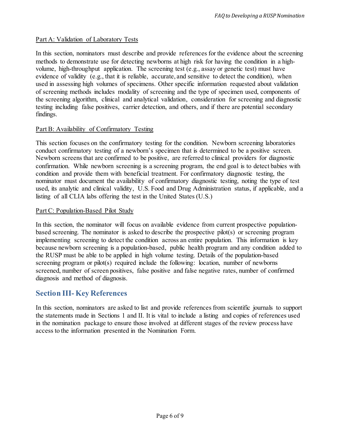#### Part A: Validation of Laboratory Tests

In this section, nominators must describe and provide references for the evidence about the screening methods to demonstrate use for detecting newborns at high risk for having the condition in a highvolume, high-throughput application. The screening test (e.g., assay or genetic test) must have evidence of validity (e.g., that it is reliable, accurate, and sensitive to detect the condition), when used in assessing high volumes of specimens. Other specific information requested about validation of screening methods includes modality of screening and the type of specimen used, components of the screening algorithm, clinical and analytical validation, consideration for screening and diagnostic testing including false positives, carrier detection, and others, and if there are potential secondary findings.

#### Part B: Availability of Confirmatory Testing

This section focuses on the confirmatory testing for the condition. Newborn screening laboratories conduct confirmatory testing of a newborn's specimen that is determined to be a positive screen. Newborn screens that are confirmed to be positive, are referred to clinical providers for diagnostic confirmation. While newborn screening is a screening program, the end goal is to detect babies with condition and provide them with beneficial treatment. For confirmatory diagnostic testing, the nominator must document the availability of confirmatory diagnostic testing, noting the type of test used, its analytic and clinical validity, U.S. Food and Drug Administration status, if applicable, and a listing of all CLIA labs offering the test in the United States (U.S.)

#### Part C: Population-Based Pilot Study

In this section, the nominator will focus on available evidence from current prospective populationbased screening. The nominator is asked to describe the prospective pilot(s) or screening program implementing screening to detect the condition across an entire population. This information is key because newborn screening is a population-based, public health program and any condition added to the RUSP must be able to be applied in high volume testing. Details of the population-based screening program or pilot(s) required include the following: location, number of newborns screened, number of screen positives, false positive and false negative rates, number of confirmed diagnosis and method of diagnosis.

## **Section III- Key References**

In this section, nominators are asked to list and provide references from scientific journals to support the statements made in Sections 1 and II. It is vital to include a listing and copies of references used in the nomination package to ensure those involved at different stages of the review process have access to the information presented in the Nomination Form.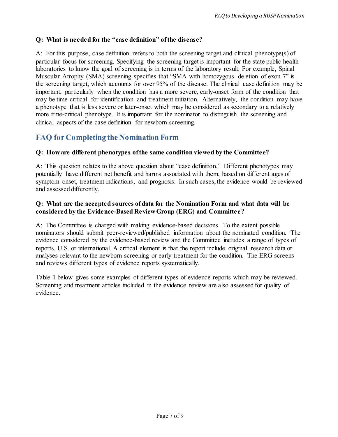### **Q: What is needed for the "case definition" ofthe disease?**

A: For this purpose, case definition refers to both the screening target and clinical phenotype(s) of particular focus for screening. Specifying the screening target is important for the state public health laboratories to know the goal of screening is in terms of the laboratory result. For example, Spinal Muscular Atrophy (SMA) screening specifies that "SMA with homozygous deletion of exon 7" is the screening target, which accounts for over 95% of the disease. The clinical case definition may be important, particularly when the condition has a more severe, early-onset form of the condition that may be time-critical for identification and treatment initiation. Alternatively, the condition may have a phenotype that is less severe or later-onset which may be considered as secondary to a relatively more time-critical phenotype. It is important for the nominator to distinguish the screening and clinical aspects of the case definition for newborn screening.

## **FAQ for Completing the Nomination Form**

#### **Q: How are different phenotypes ofthe same condition viewed by the Committee?**

A: This question relates to the above question about "case definition." Different phenotypes may potentially have different net benefit and harms associated with them, based on different ages of symptom onset, treatment indications, and prognosis. In such cases, the evidence would be reviewed and assessed differently.

### **Q: What are the accepted sources of data for the Nomination Form and what data will be considered by the Evidence-Based Review Group (ERG) and Committee?**

A: The Committee is charged with making evidence-based decisions. To the extent possible nominators should submit peer-reviewed/published information about the nominated condition. The evidence considered by the evidence-based review and the Committee includes a range of types of reports, U.S. or international A critical element is that the report include original research data or analyses relevant to the newborn screening or early treatment for the condition. The ERG screens and reviews different types of evidence reports systematically.

Table 1 below gives some examples of different types of evidence reports which may be reviewed. Screening and treatment articles included in the evidence review are also assessed for quality of evidence.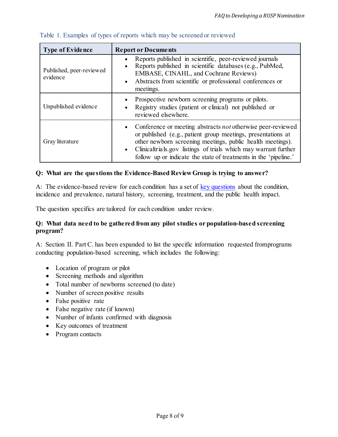| <b>Type of Evidence</b>              | <b>Report or Documents</b>                                                                                                                                                                                                                                                                                                           |
|--------------------------------------|--------------------------------------------------------------------------------------------------------------------------------------------------------------------------------------------------------------------------------------------------------------------------------------------------------------------------------------|
| Published, peer-reviewed<br>evidence | Reports published in scientific, peer-reviewed journals<br>Reports published in scientific databases (e.g., PubMed,<br>EMBASE, CINAHL, and Cochrane Reviews)<br>• Abstracts from scientific or professional conferences or<br>meetings.                                                                                              |
| Unpublished evidence                 | Prospective newborn screening programs or pilots.<br>Registry studies (patient or clinical) not published or<br>reviewed elsewhere.                                                                                                                                                                                                  |
| Gray literature                      | • Conference or meeting abstracts not otherwise peer-reviewed<br>or published (e.g., patient group meetings, presentations at<br>other newborn screening meetings, public health meetings).<br>• Clinicaltrials.gov listings of trials which may warrant further<br>follow up or indicate the state of treatments in the 'pipeline.' |

### Table 1. Examples of types of reports which may be screened or reviewed

#### **Q: What are the questions the Evidence-Based Review Group is trying to answer?**

A: The evidence-based review for each condition has a set of key [questions](https://mchb.hrsa.gov/advisory-committees/heritable-disorders/topic-areas-and-sample-questions-addressed-evidence-based-review) about the condition, incidence and prevalence, natural history, screening, treatment, and the public health impact.

The question specifics are tailored for each condition under review.

#### **Q: What data need to be gathered from any pilot studies or population-based screening program?**

A: Section II. Part C. has been expanded to list the specific information requested fromprograms conducting population-based screening, which includes the following:

- Location of program or pilot
- Screening methods and algorithm
- Total number of newborns screened (to date)
- Number of screen positive results
- False positive rate
- False negative rate (if known)
- Number of infants confirmed with diagnosis
- Key outcomes of treatment
- Program contacts